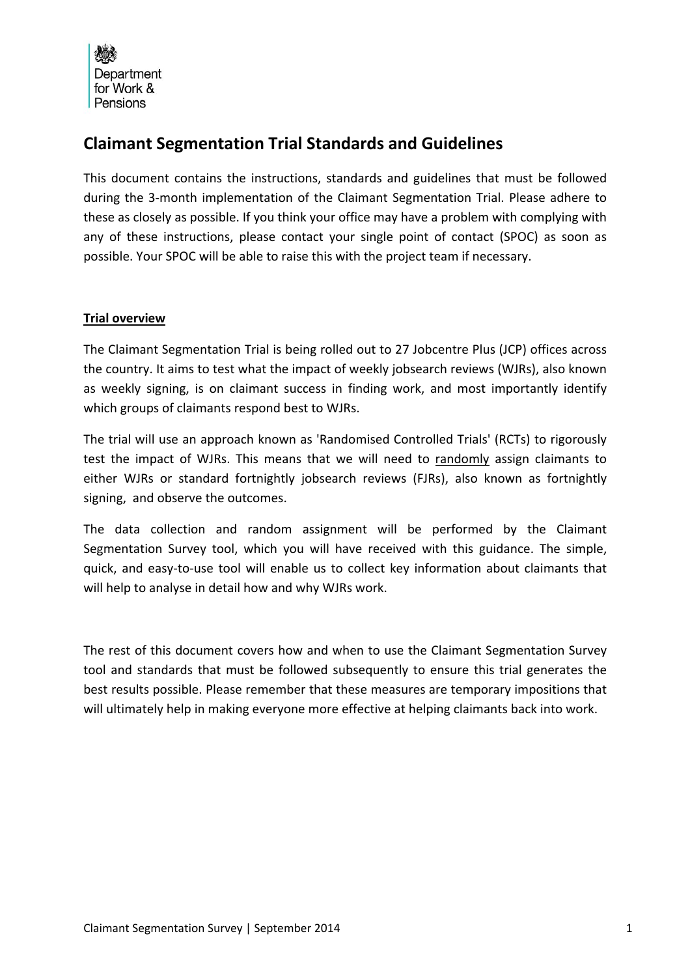

# **Claimant Segmentation Trial Standards and Guidelines**

This document contains the instructions, standards and guidelines that must be followed during the 3‐month implementation of the Claimant Segmentation Trial. Please adhere to these as closely as possible. If you think your office may have a problem with complying with any of these instructions, please contact your single point of contact (SPOC) as soon as possible. Your SPOC will be able to raise this with the project team if necessary.

# **Trial overview**

The Claimant Segmentation Trial is being rolled out to 27 Jobcentre Plus (JCP) offices across the country. It aims to test what the impact of weekly jobsearch reviews (WJRs), also known as weekly signing, is on claimant success in finding work, and most importantly identify which groups of claimants respond best to WJRs.

The trial will use an approach known as 'Randomised Controlled Trials' (RCTs) to rigorously test the impact of WJRs. This means that we will need to randomly assign claimants to either WJRs or standard fortnightly jobsearch reviews (FJRs), also known as fortnightly signing, and observe the outcomes.

The data collection and random assignment will be performed by the Claimant Segmentation Survey tool, which you will have received with this guidance. The simple, quick, and easy‐to‐use tool will enable us to collect key information about claimants that will help to analyse in detail how and why WJRs work.

The rest of this document covers how and when to use the Claimant Segmentation Survey tool and standards that must be followed subsequently to ensure this trial generates the best results possible. Please remember that these measures are temporary impositions that will ultimately help in making everyone more effective at helping claimants back into work.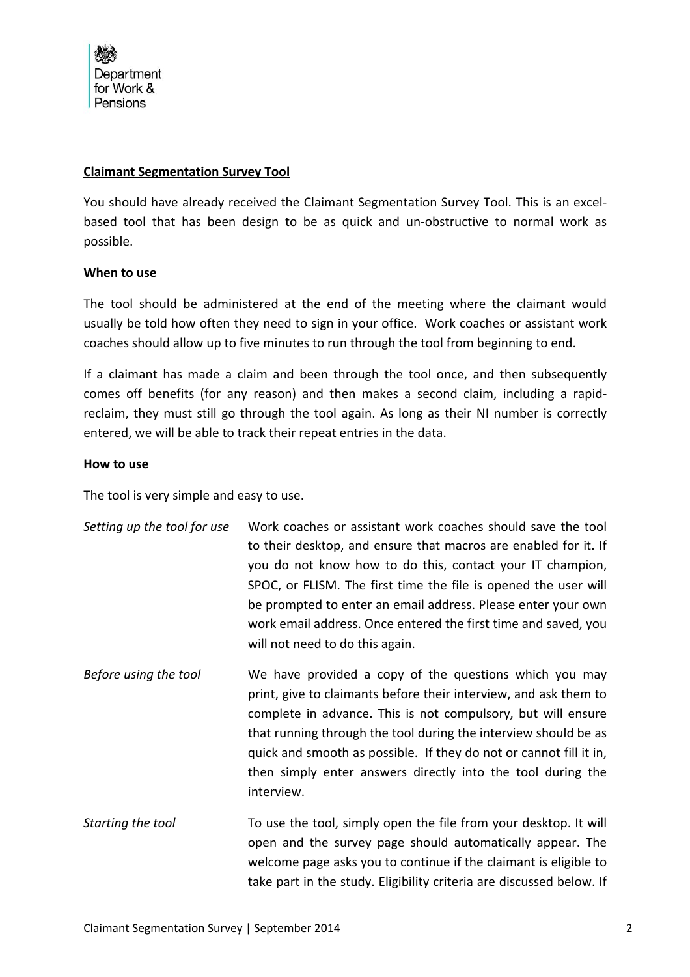#### **Claimant Segmentation Survey Tool**

You should have already received the Claimant Segmentation Survey Tool. This is an excelbased tool that has been design to be as quick and un‐obstructive to normal work as possible.

#### **When to use**

The tool should be administered at the end of the meeting where the claimant would usually be told how often they need to sign in your office. Work coaches or assistant work coaches should allow up to five minutes to run through the tool from beginning to end.

If a claimant has made a claim and been through the tool once, and then subsequently comes off benefits (for any reason) and then makes a second claim, including a rapid‐ reclaim, they must still go through the tool again. As long as their NI number is correctly entered, we will be able to track their repeat entries in the data.

#### **How to use**

The tool is very simple and easy to use.

| Setting up the tool for use | Work coaches or assistant work coaches should save the tool<br>to their desktop, and ensure that macros are enabled for it. If<br>you do not know how to do this, contact your IT champion,<br>SPOC, or FLISM. The first time the file is opened the user will<br>be prompted to enter an email address. Please enter your own<br>work email address. Once entered the first time and saved, you<br>will not need to do this again. |
|-----------------------------|-------------------------------------------------------------------------------------------------------------------------------------------------------------------------------------------------------------------------------------------------------------------------------------------------------------------------------------------------------------------------------------------------------------------------------------|
| Before using the tool       | We have provided a copy of the questions which you may<br>print, give to claimants before their interview, and ask them to<br>complete in advance. This is not compulsory, but will ensure<br>that running through the tool during the interview should be as<br>quick and smooth as possible. If they do not or cannot fill it in,<br>then simply enter answers directly into the tool during the<br>interview.                    |
| Starting the tool           | To use the tool, simply open the file from your desktop. It will<br>open and the survey page should automatically appear. The<br>welcome page asks you to continue if the claimant is eligible to<br>take part in the study. Eligibility criteria are discussed below. If                                                                                                                                                           |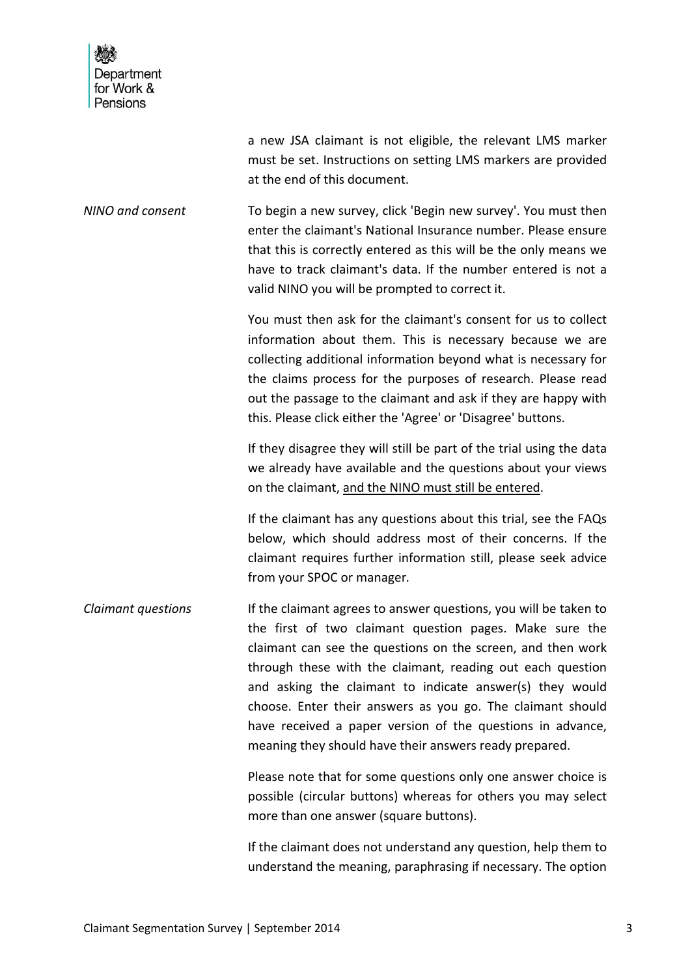| Department<br>for Work &<br>Pensions |                                                                                                                                                                                                                                                                                                                                                                                                                                                                                                            |
|--------------------------------------|------------------------------------------------------------------------------------------------------------------------------------------------------------------------------------------------------------------------------------------------------------------------------------------------------------------------------------------------------------------------------------------------------------------------------------------------------------------------------------------------------------|
|                                      | a new JSA claimant is not eligible, the relevant LMS marker<br>must be set. Instructions on setting LMS markers are provided<br>at the end of this document.                                                                                                                                                                                                                                                                                                                                               |
| NINO and consent                     | To begin a new survey, click 'Begin new survey'. You must then<br>enter the claimant's National Insurance number. Please ensure<br>that this is correctly entered as this will be the only means we<br>have to track claimant's data. If the number entered is not a<br>valid NINO you will be prompted to correct it.                                                                                                                                                                                     |
|                                      | You must then ask for the claimant's consent for us to collect<br>information about them. This is necessary because we are<br>collecting additional information beyond what is necessary for<br>the claims process for the purposes of research. Please read<br>out the passage to the claimant and ask if they are happy with<br>this. Please click either the 'Agree' or 'Disagree' buttons.                                                                                                             |
|                                      | If they disagree they will still be part of the trial using the data<br>we already have available and the questions about your views<br>on the claimant, and the NINO must still be entered.                                                                                                                                                                                                                                                                                                               |
|                                      | If the claimant has any questions about this trial, see the FAQs<br>below, which should address most of their concerns. If the<br>claimant requires further information still, please seek advice<br>from your SPOC or manager.                                                                                                                                                                                                                                                                            |
| Claimant questions                   | If the claimant agrees to answer questions, you will be taken to<br>the first of two claimant question pages. Make sure the<br>claimant can see the questions on the screen, and then work<br>through these with the claimant, reading out each question<br>and asking the claimant to indicate answer(s) they would<br>choose. Enter their answers as you go. The claimant should<br>have received a paper version of the questions in advance,<br>meaning they should have their answers ready prepared. |
|                                      | Please note that for some questions only one answer choice is<br>possible (circular buttons) whereas for others you may select<br>more than one answer (square buttons).                                                                                                                                                                                                                                                                                                                                   |
|                                      | If the claimant does not understand any question, help them to                                                                                                                                                                                                                                                                                                                                                                                                                                             |

understand the meaning, paraphrasing if necessary. The option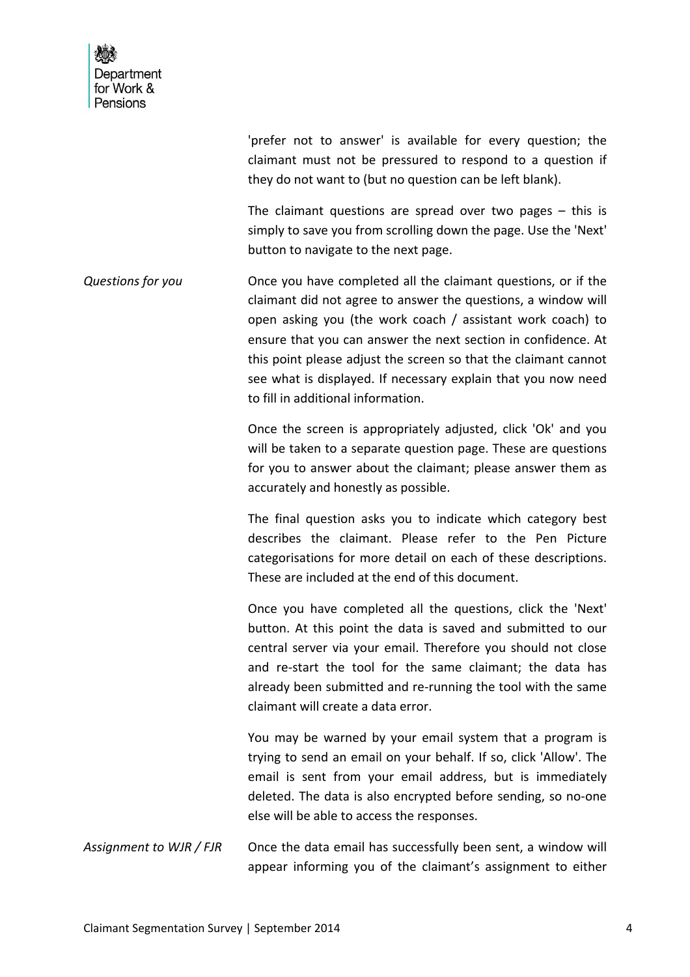| Department<br>for Work &<br>Pensions |                                                                                                                                                                                                                                                                                                                                                                                                                                         |
|--------------------------------------|-----------------------------------------------------------------------------------------------------------------------------------------------------------------------------------------------------------------------------------------------------------------------------------------------------------------------------------------------------------------------------------------------------------------------------------------|
|                                      | 'prefer not to answer' is available for every question; the<br>claimant must not be pressured to respond to a question if<br>they do not want to (but no question can be left blank).                                                                                                                                                                                                                                                   |
|                                      | The claimant questions are spread over two pages $-$ this is<br>simply to save you from scrolling down the page. Use the 'Next'<br>button to navigate to the next page.                                                                                                                                                                                                                                                                 |
| Questions for you                    | Once you have completed all the claimant questions, or if the<br>claimant did not agree to answer the questions, a window will<br>open asking you (the work coach / assistant work coach) to<br>ensure that you can answer the next section in confidence. At<br>this point please adjust the screen so that the claimant cannot<br>see what is displayed. If necessary explain that you now need<br>to fill in additional information. |
|                                      | Once the screen is appropriately adjusted, click 'Ok' and you<br>will be taken to a separate question page. These are questions<br>for you to answer about the claimant; please answer them as<br>accurately and honestly as possible.                                                                                                                                                                                                  |
|                                      | The final question asks you to indicate which category best<br>describes the claimant. Please refer to the Pen Picture<br>categorisations for more detail on each of these descriptions.<br>These are included at the end of this document.                                                                                                                                                                                             |
|                                      | Once you have completed all the questions, click the 'Next'<br>button. At this point the data is saved and submitted to our<br>central server via your email. Therefore you should not close<br>and re-start the tool for the same claimant; the data has<br>already been submitted and re-running the tool with the same<br>claimant will create a data error.                                                                         |
|                                      | You may be warned by your email system that a program is<br>trying to send an email on your behalf. If so, click 'Allow'. The<br>email is sent from your email address, but is immediately<br>deleted. The data is also encrypted before sending, so no-one<br>else will be able to access the responses.                                                                                                                               |
| Assignment to WJR / FJR              | Once the data email has successfully been sent, a window will<br>appear informing you of the claimant's assignment to either                                                                                                                                                                                                                                                                                                            |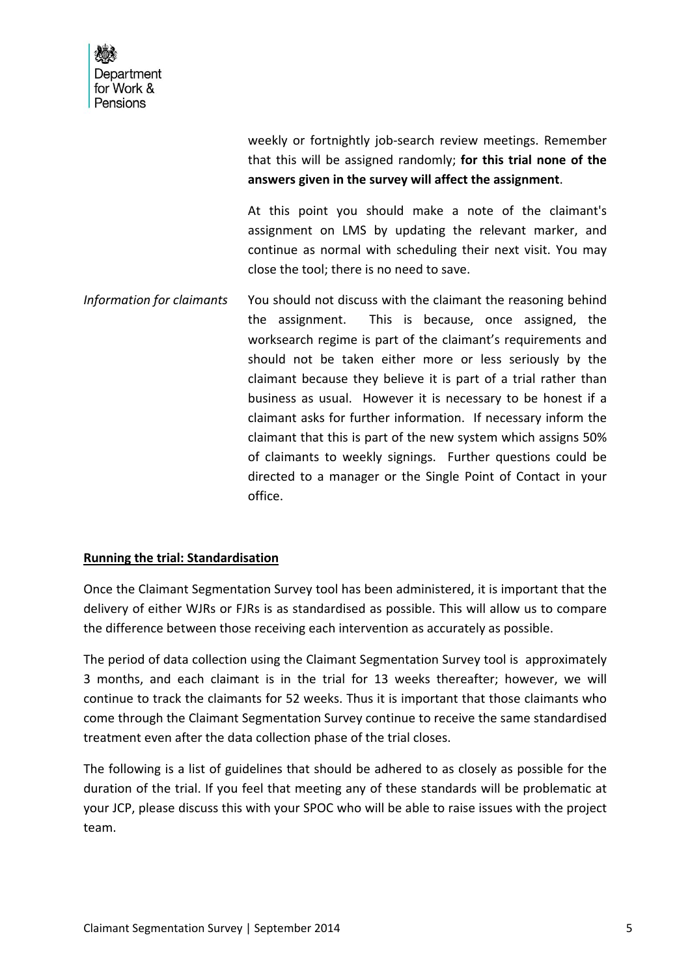weekly or fortnightly job-search review meetings. Remember that this will be assigned randomly; **for this trial none of the answers given in the survey will affect the assignment**.

At this point you should make a note of the claimant's assignment on LMS by updating the relevant marker, and continue as normal with scheduling their next visit. You may close the tool; there is no need to save.

*Information for claimants* You should not discuss with the claimant the reasoning behind the assignment. This is because, once assigned, the worksearch regime is part of the claimant's requirements and should not be taken either more or less seriously by the claimant because they believe it is part of a trial rather than business as usual. However it is necessary to be honest if a claimant asks for further information. If necessary inform the claimant that this is part of the new system which assigns 50% of claimants to weekly signings. Further questions could be directed to a manager or the Single Point of Contact in your office.

#### **Running the trial: Standardisation**

Once the Claimant Segmentation Survey tool has been administered, it is important that the delivery of either WJRs or FJRs is as standardised as possible. This will allow us to compare the difference between those receiving each intervention as accurately as possible.

The period of data collection using the Claimant Segmentation Survey tool is approximately 3 months, and each claimant is in the trial for 13 weeks thereafter; however, we will continue to track the claimants for 52 weeks. Thus it is important that those claimants who come through the Claimant Segmentation Survey continue to receive the same standardised treatment even after the data collection phase of the trial closes.

The following is a list of guidelines that should be adhered to as closely as possible for the duration of the trial. If you feel that meeting any of these standards will be problematic at your JCP, please discuss this with your SPOC who will be able to raise issues with the project team.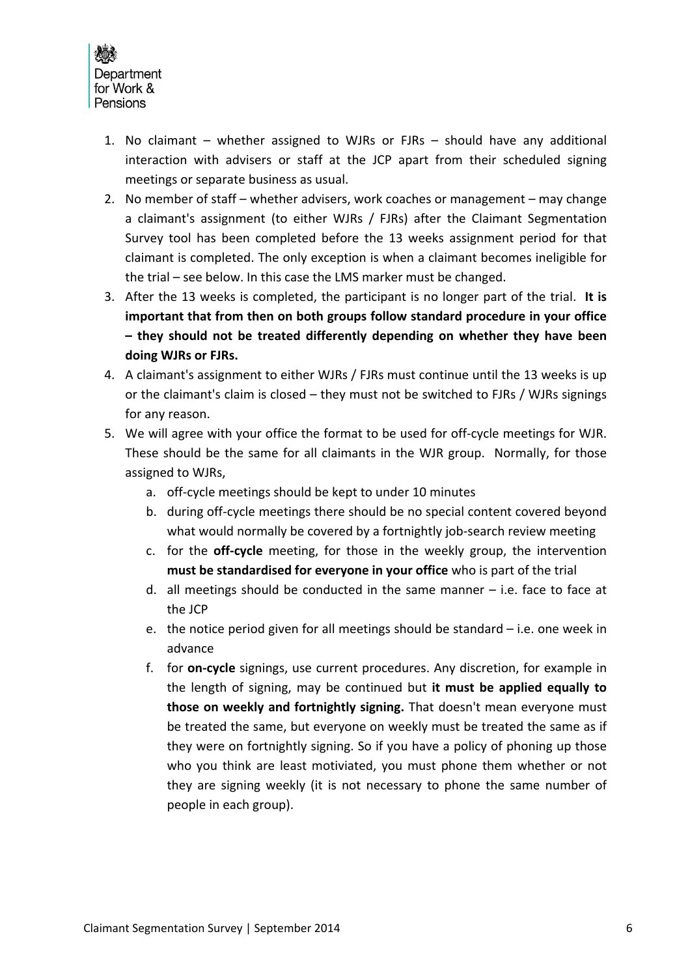

- 1. No claimant whether assigned to WJRs or FJRs should have any additional interaction with advisers or staff at the JCP apart from their scheduled signing meetings or separate business as usual.
- 2. No member of staff whether advisers, work coaches or management may change a claimant's assignment (to either WJRs / FJRs) after the Claimant Segmentation Survey tool has been completed before the 13 weeks assignment period for that claimant is completed. The only exception is when a claimant becomes ineligible for the trial – see below. In this case the LMS marker must be changed.
- 3. After the 13 weeks is completed, the participant is no longer part of the trial. **It is important that from then on both groups follow standard procedure in your office – they should not be treated differently depending on whether they have been doing WJRs or FJRs.**
- 4. A claimant's assignment to either WJRs / FJRs must continue until the 13 weeks is up or the claimant's claim is closed – they must not be switched to FJRs / WJRs signings for any reason.
- 5. We will agree with your office the format to be used for off-cycle meetings for WJR. These should be the same for all claimants in the WJR group. Normally, for those assigned to WJRs,
	- a. off‐cycle meetings should be kept to under 10 minutes
	- b. during off‐cycle meetings there should be no special content covered beyond what would normally be covered by a fortnightly job-search review meeting
	- c. for the **off‐cycle** meeting, for those in the weekly group, the intervention **must be standardised for everyone in your office** who is part of the trial
	- d. all meetings should be conducted in the same manner i.e. face to face at the JCP
	- e. the notice period given for all meetings should be standard i.e. one week in advance
	- f. for **on‐cycle** signings, use current procedures. Any discretion, for example in the length of signing, may be continued but **it must be applied equally to those on weekly and fortnightly signing.** That doesn't mean everyone must be treated the same, but everyone on weekly must be treated the same as if they were on fortnightly signing. So if you have a policy of phoning up those who you think are least motiviated, you must phone them whether or not they are signing weekly (it is not necessary to phone the same number of people in each group).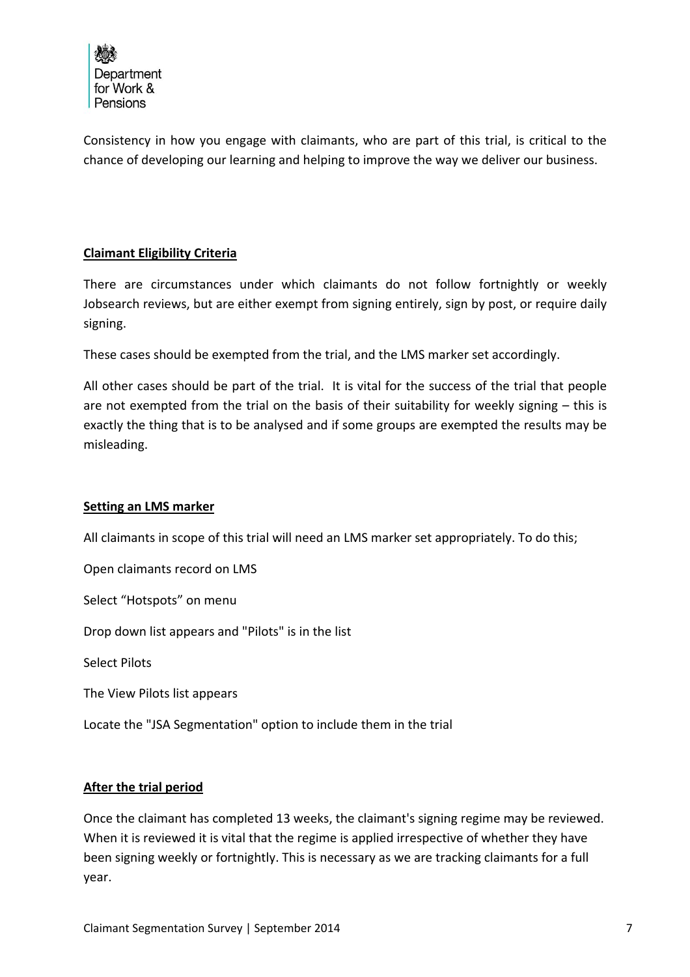

Consistency in how you engage with claimants, who are part of this trial, is critical to the chance of developing our learning and helping to improve the way we deliver our business.

# **Claimant Eligibility Criteria**

There are circumstances under which claimants do not follow fortnightly or weekly Jobsearch reviews, but are either exempt from signing entirely, sign by post, or require daily signing.

These cases should be exempted from the trial, and the LMS marker set accordingly.

All other cases should be part of the trial. It is vital for the success of the trial that people are not exempted from the trial on the basis of their suitability for weekly signing – this is exactly the thing that is to be analysed and if some groups are exempted the results may be misleading.

# **Setting an LMS marker**

All claimants in scope of this trial will need an LMS marker set appropriately. To do this;

Open claimants record on LMS Select "Hotspots" on menu Drop down list appears and "Pilots" is in the list Select Pilots

The View Pilots list appears

Locate the "JSA Segmentation" option to include them in the trial

# **After the trial period**

Once the claimant has completed 13 weeks, the claimant's signing regime may be reviewed. When it is reviewed it is vital that the regime is applied irrespective of whether they have been signing weekly or fortnightly. This is necessary as we are tracking claimants for a full year.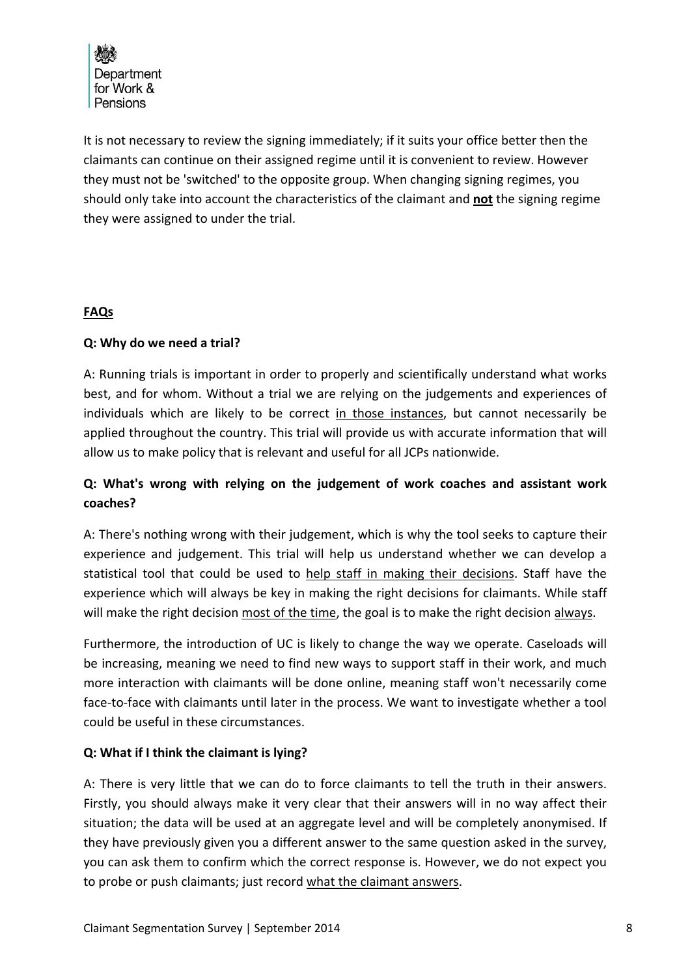

It is not necessary to review the signing immediately; if it suits your office better then the claimants can continue on their assigned regime until it is convenient to review. However they must not be 'switched' to the opposite group. When changing signing regimes, you should only take into account the characteristics of the claimant and **not** the signing regime they were assigned to under the trial.

# **FAQs**

# **Q: Why do we need a trial?**

A: Running trials is important in order to properly and scientifically understand what works best, and for whom. Without a trial we are relying on the judgements and experiences of individuals which are likely to be correct in those instances, but cannot necessarily be applied throughout the country. This trial will provide us with accurate information that will allow us to make policy that is relevant and useful for all JCPs nationwide.

# **Q: What's wrong with relying on the judgement of work coaches and assistant work coaches?**

A: There's nothing wrong with their judgement, which is why the tool seeks to capture their experience and judgement. This trial will help us understand whether we can develop a statistical tool that could be used to help staff in making their decisions. Staff have the experience which will always be key in making the right decisions for claimants. While staff will make the right decision most of the time, the goal is to make the right decision always.

Furthermore, the introduction of UC is likely to change the way we operate. Caseloads will be increasing, meaning we need to find new ways to support staff in their work, and much more interaction with claimants will be done online, meaning staff won't necessarily come face-to-face with claimants until later in the process. We want to investigate whether a tool could be useful in these circumstances.

# **Q: What if I think the claimant is lying?**

A: There is very little that we can do to force claimants to tell the truth in their answers. Firstly, you should always make it very clear that their answers will in no way affect their situation; the data will be used at an aggregate level and will be completely anonymised. If they have previously given you a different answer to the same question asked in the survey, you can ask them to confirm which the correct response is. However, we do not expect you to probe or push claimants; just record what the claimant answers.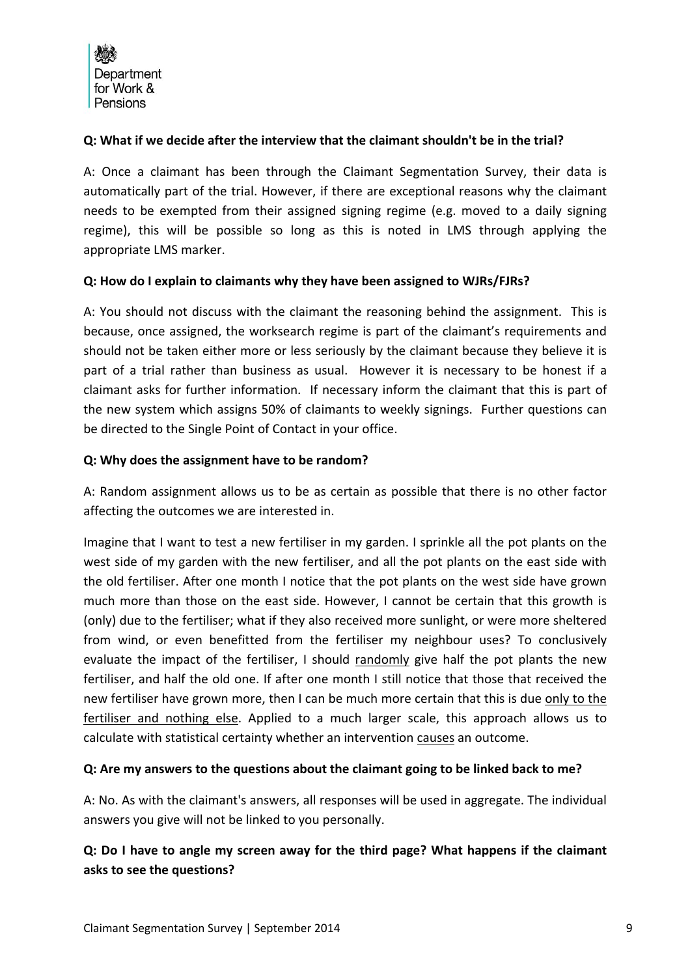# **Q: What if we decide after the interview that the claimant shouldn't be in the trial?**

A: Once a claimant has been through the Claimant Segmentation Survey, their data is automatically part of the trial. However, if there are exceptional reasons why the claimant needs to be exempted from their assigned signing regime (e.g. moved to a daily signing regime), this will be possible so long as this is noted in LMS through applying the appropriate LMS marker.

# **Q: How do I explain to claimants why they have been assigned to WJRs/FJRs?**

A: You should not discuss with the claimant the reasoning behind the assignment. This is because, once assigned, the worksearch regime is part of the claimant's requirements and should not be taken either more or less seriously by the claimant because they believe it is part of a trial rather than business as usual. However it is necessary to be honest if a claimant asks for further information. If necessary inform the claimant that this is part of the new system which assigns 50% of claimants to weekly signings. Further questions can be directed to the Single Point of Contact in your office.

# **Q: Why does the assignment have to be random?**

A: Random assignment allows us to be as certain as possible that there is no other factor affecting the outcomes we are interested in.

Imagine that I want to test a new fertiliser in my garden. I sprinkle all the pot plants on the west side of my garden with the new fertiliser, and all the pot plants on the east side with the old fertiliser. After one month I notice that the pot plants on the west side have grown much more than those on the east side. However, I cannot be certain that this growth is (only) due to the fertiliser; what if they also received more sunlight, or were more sheltered from wind, or even benefitted from the fertiliser my neighbour uses? To conclusively evaluate the impact of the fertiliser, I should randomly give half the pot plants the new fertiliser, and half the old one. If after one month I still notice that those that received the new fertiliser have grown more, then I can be much more certain that this is due only to the fertiliser and nothing else. Applied to a much larger scale, this approach allows us to calculate with statistical certainty whether an intervention causes an outcome.

# **Q: Are my answers to the questions about the claimant going to be linked back to me?**

A: No. As with the claimant's answers, all responses will be used in aggregate. The individual answers you give will not be linked to you personally.

# **Q: Do I have to angle my screen away for the third page? What happens if the claimant asks to see the questions?**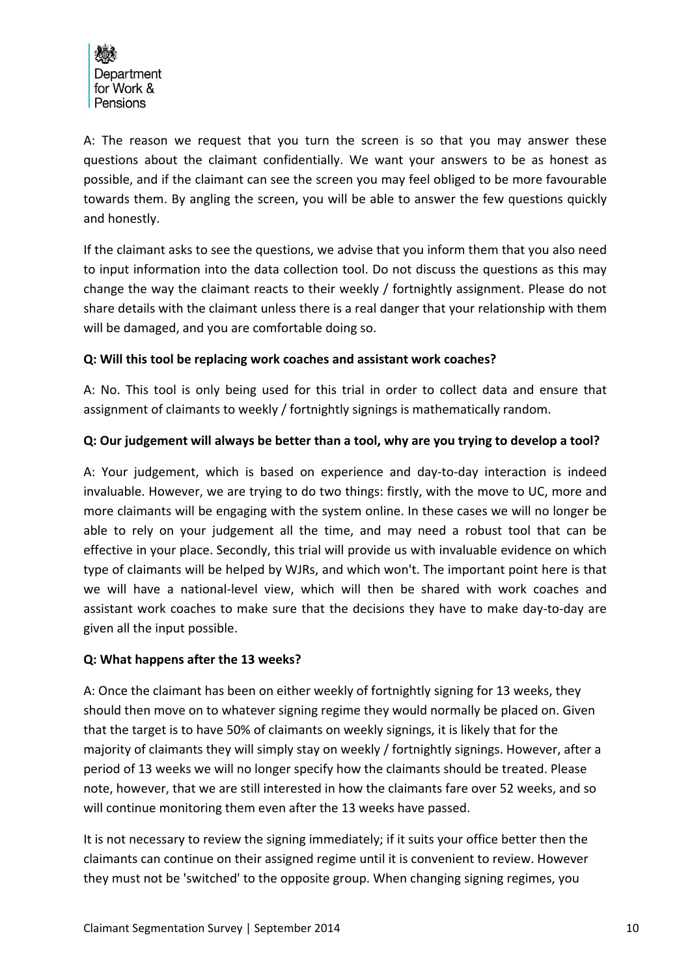

A: The reason we request that you turn the screen is so that you may answer these questions about the claimant confidentially. We want your answers to be as honest as possible, and if the claimant can see the screen you may feel obliged to be more favourable towards them. By angling the screen, you will be able to answer the few questions quickly and honestly.

If the claimant asks to see the questions, we advise that you inform them that you also need to input information into the data collection tool. Do not discuss the questions as this may change the way the claimant reacts to their weekly / fortnightly assignment. Please do not share details with the claimant unless there is a real danger that your relationship with them will be damaged, and you are comfortable doing so.

# **Q: Will this tool be replacing work coaches and assistant work coaches?**

A: No. This tool is only being used for this trial in order to collect data and ensure that assignment of claimants to weekly / fortnightly signings is mathematically random.

# **Q: Our judgement will always be better than a tool, why are you trying to develop a tool?**

A: Your judgement, which is based on experience and day‐to‐day interaction is indeed invaluable. However, we are trying to do two things: firstly, with the move to UC, more and more claimants will be engaging with the system online. In these cases we will no longer be able to rely on your judgement all the time, and may need a robust tool that can be effective in your place. Secondly, this trial will provide us with invaluable evidence on which type of claimants will be helped by WJRs, and which won't. The important point here is that we will have a national-level view, which will then be shared with work coaches and assistant work coaches to make sure that the decisions they have to make day‐to‐day are given all the input possible.

# **Q: What happens after the 13 weeks?**

A: Once the claimant has been on either weekly of fortnightly signing for 13 weeks, they should then move on to whatever signing regime they would normally be placed on. Given that the target is to have 50% of claimants on weekly signings, it is likely that for the majority of claimants they will simply stay on weekly / fortnightly signings. However, after a period of 13 weeks we will no longer specify how the claimants should be treated. Please note, however, that we are still interested in how the claimants fare over 52 weeks, and so will continue monitoring them even after the 13 weeks have passed.

It is not necessary to review the signing immediately; if it suits your office better then the claimants can continue on their assigned regime until it is convenient to review. However they must not be 'switched' to the opposite group. When changing signing regimes, you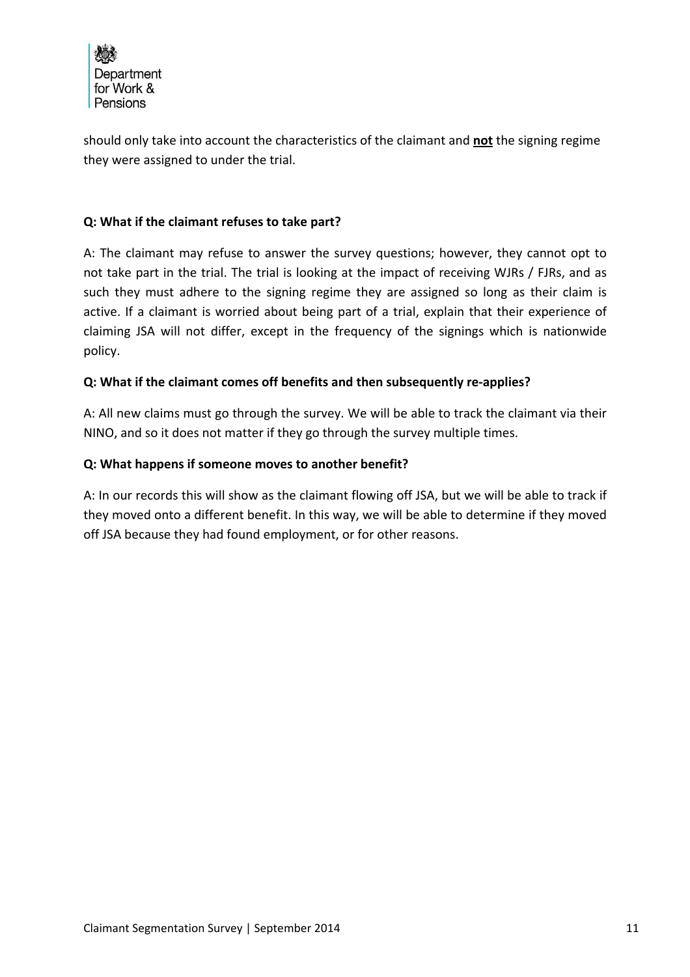

should only take into account the characteristics of the claimant and **not** the signing regime they were assigned to under the trial.

# **Q: What if the claimant refuses to take part?**

A: The claimant may refuse to answer the survey questions; however, they cannot opt to not take part in the trial. The trial is looking at the impact of receiving WJRs / FJRs, and as such they must adhere to the signing regime they are assigned so long as their claim is active. If a claimant is worried about being part of a trial, explain that their experience of claiming JSA will not differ, except in the frequency of the signings which is nationwide policy.

# **Q: What if the claimant comes off benefits and then subsequently re‐applies?**

A: All new claims must go through the survey. We will be able to track the claimant via their NINO, and so it does not matter if they go through the survey multiple times.

# **Q: What happens if someone moves to another benefit?**

A: In our records this will show as the claimant flowing off JSA, but we will be able to track if they moved onto a different benefit. In this way, we will be able to determine if they moved off JSA because they had found employment, or for other reasons.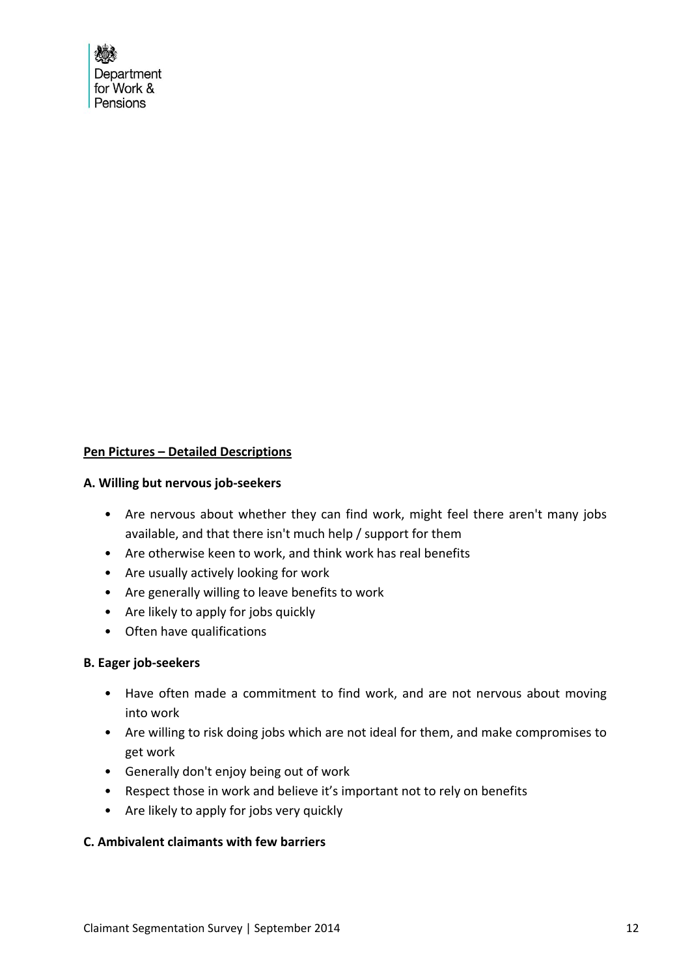

#### **Pen Pictures – Detailed Descriptions**

#### **A. Willing but nervous job‐seekers**

- Are nervous about whether they can find work, might feel there aren't many jobs available, and that there isn't much help / support for them
- Are otherwise keen to work, and think work has real benefits
- Are usually actively looking for work
- Are generally willing to leave benefits to work
- Are likely to apply for jobs quickly
- Often have qualifications

# **B. Eager job‐seekers**

- Have often made a commitment to find work, and are not nervous about moving into work
- Are willing to risk doing jobs which are not ideal for them, and make compromises to get work
- Generally don't enjoy being out of work
- Respect those in work and believe it's important not to rely on benefits
- Are likely to apply for jobs very quickly

# **C. Ambivalent claimants with few barriers**